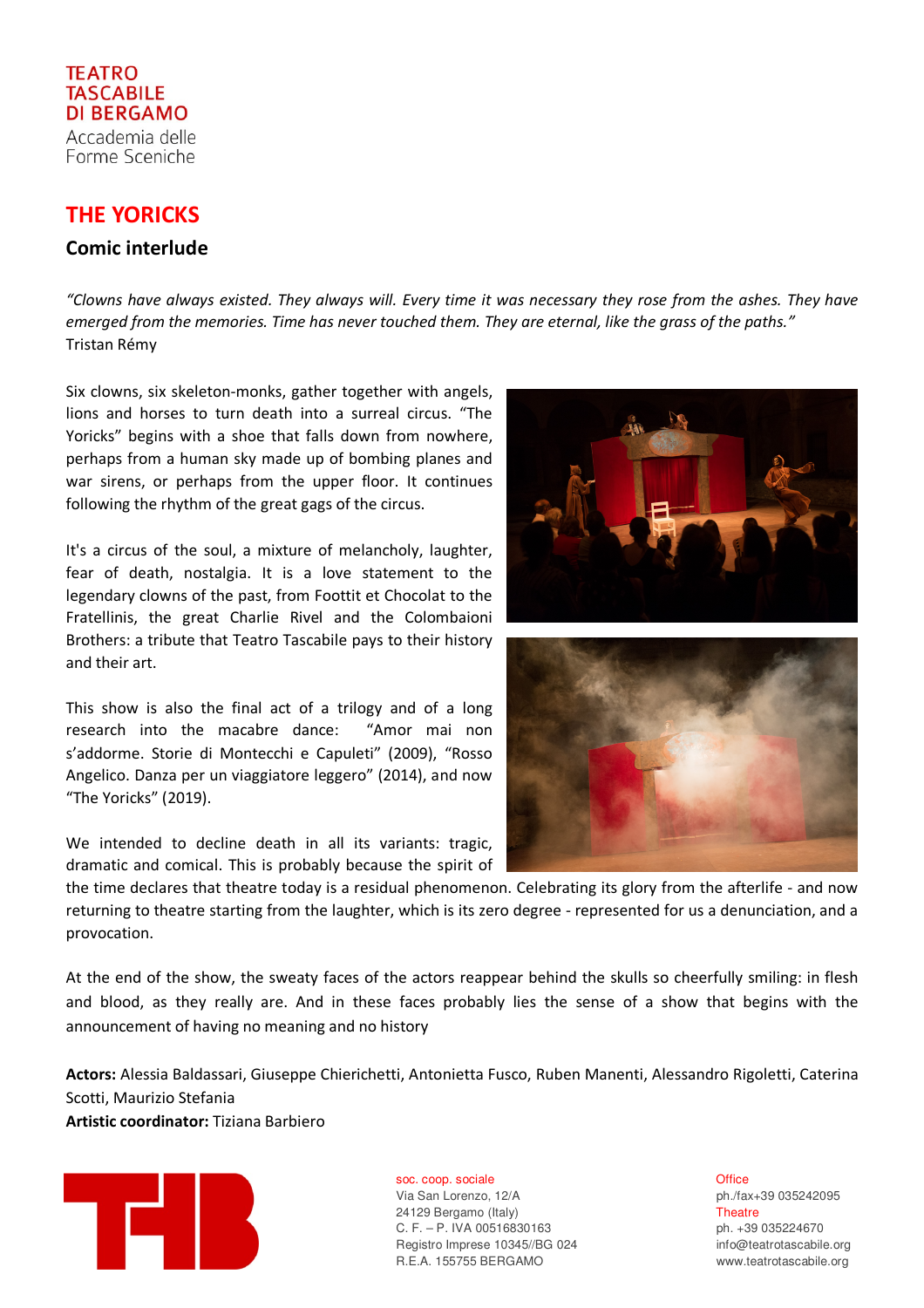## **TEATRO TASCABILE** DI BERGAMO Accademia delle

Forme Sceniche

## THE YORICKS

## Comic interlude

"Clowns have always existed. They always will. Every time it was necessary they rose from the ashes. They have emerged from the memories. Time has never touched them. They are eternal, like the grass of the paths." Tristan Rémy

Six clowns, six skeleton-monks, gather together with angels, lions and horses to turn death into a surreal circus. "The Yoricks" begins with a shoe that falls down from nowhere, perhaps from a human sky made up of bombing planes and war sirens, or perhaps from the upper floor. It continues following the rhythm of the great gags of the circus.

It's a circus of the soul, a mixture of melancholy, laughter, fear of death, nostalgia. It is a love statement to the legendary clowns of the past, from Foottit et Chocolat to the Fratellinis, the great Charlie Rivel and the Colombaioni Brothers: a tribute that Teatro Tascabile pays to their history and their art.

This show is also the final act of a trilogy and of a long research into the macabre dance: "Amor mai non s'addorme. Storie di Montecchi e Capuleti" (2009), "Rosso Angelico. Danza per un viaggiatore leggero" (2014), and now "The Yoricks" (2019).

We intended to decline death in all its variants: tragic, dramatic and comical. This is probably because the spirit of



At the end of the show, the sweaty faces of the actors reappear behind the skulls so cheerfully smiling: in flesh and blood, as they really are. And in these faces probably lies the sense of a show that begins with the announcement of having no meaning and no history

Actors: Alessia Baldassari, Giuseppe Chierichetti, Antonietta Fusco, Ruben Manenti, Alessandro Rigoletti, Caterina Scotti, Maurizio Stefania Artistic coordinator: Tiziana Barbiero



soc. coop. sociale **b Office Office** 

Via San Lorenzo, 12/A ph./fax+39 035242095 24129 Bergamo (Italy) Theatre C. F. – P. IVA 00516830163 ph. +39 035224670 Registro Imprese 10345//BG 024 info@teatrotascabile.org R.E.A. 155755 BERGAMO www.teatrotascabile.org